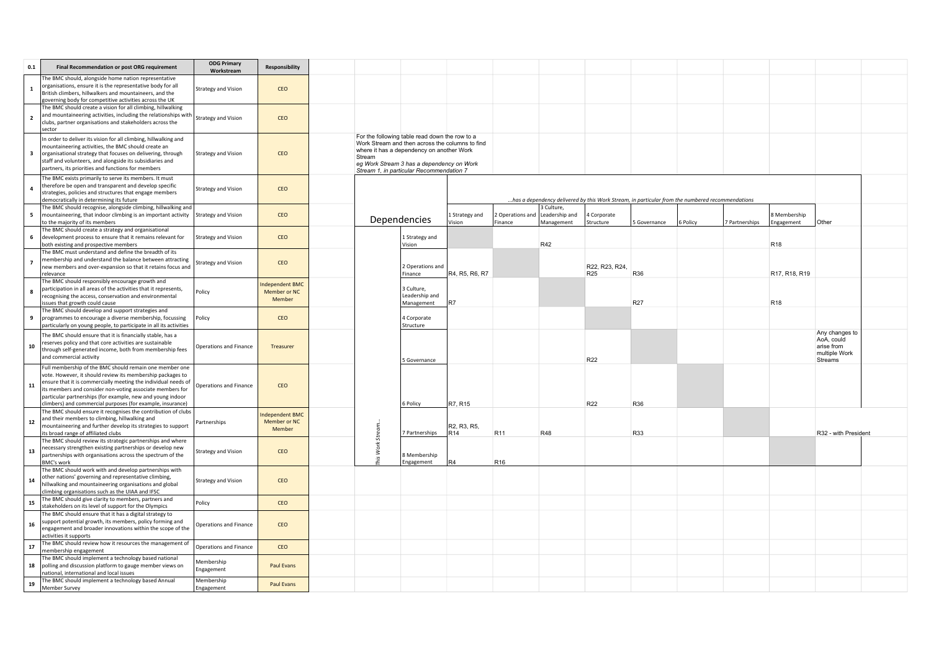| 0.1                     | Final Recommendation or post ORG requirement                                                                                                                                                                                                                                                                                                                                     | <b>ODG Primary</b><br>Workstream | <b>Responsibility</b>                    |  |         |                                                                                                                                                                                                                                         |                          |                             |                                            |                                                                                                 |              |          |                |                            |                      |  |                                                                        |  |  |
|-------------------------|----------------------------------------------------------------------------------------------------------------------------------------------------------------------------------------------------------------------------------------------------------------------------------------------------------------------------------------------------------------------------------|----------------------------------|------------------------------------------|--|---------|-----------------------------------------------------------------------------------------------------------------------------------------------------------------------------------------------------------------------------------------|--------------------------|-----------------------------|--------------------------------------------|-------------------------------------------------------------------------------------------------|--------------|----------|----------------|----------------------------|----------------------|--|------------------------------------------------------------------------|--|--|
| $\mathbf{1}$            | The BMC should, alongside home nation representative<br>organisations, ensure it is the representative body for all<br>British climbers, hillwalkers and mountaineers, and the<br>governing body for competitive activities across the UK                                                                                                                                        | Strategy and Vision              | CEO                                      |  |         |                                                                                                                                                                                                                                         |                          |                             |                                            |                                                                                                 |              |          |                |                            |                      |  |                                                                        |  |  |
| $\overline{2}$          | The BMC should create a vision for all climbing, hillwalking<br>and mountaineering activities, including the relationships with<br>clubs, partner organisations and stakeholders across the<br>sector                                                                                                                                                                            | Strategy and Vision              | CEO                                      |  |         |                                                                                                                                                                                                                                         |                          |                             |                                            |                                                                                                 |              |          |                |                            |                      |  |                                                                        |  |  |
| $\overline{\mathbf{3}}$ | In order to deliver its vision for all climbing, hillwalking and<br>mountaineering activities, the BMC should create an<br>organisational strategy that focuses on delivering, through<br>staff and volunteers, and alongside its subsidiaries and<br>partners, its priorities and functions for members                                                                         | Strategy and Vision              | CEO                                      |  | Stream  | For the following table read down the row to a<br>Work Stream and then across the columns to find<br>where it has a dependency on another Work<br>eg Work Stream 3 has a dependency on Work<br>Stream 1, in particular Recommendation 7 |                          |                             |                                            |                                                                                                 |              |          |                |                            |                      |  |                                                                        |  |  |
| $\overline{a}$          | The BMC exists primarily to serve its members. It must<br>therefore be open and transparent and develop specific<br>strategies, policies and structures that engage members<br>democratically in determining its future                                                                                                                                                          | Strategy and Vision              | CEO                                      |  |         |                                                                                                                                                                                                                                         |                          |                             |                                            | has a dependency delivered by this Work Stream, in particular from the numbered recommendations |              |          |                |                            |                      |  |                                                                        |  |  |
| 5                       | The BMC should recognise, alongside climbing, hillwalking and<br>mountaineering, that indoor climbing is an important activity<br>to the majority of its members                                                                                                                                                                                                                 | <b>Strategy and Vision</b>       | CEO                                      |  |         | Dependencies                                                                                                                                                                                                                            | 1 Strategy and<br>Vision | 2 Operations and<br>Finance | 3 Culture.<br>Leadership and<br>Management | 4 Corporate<br>Structure                                                                        | 5 Governance | 6 Policy | 7 Partnerships | 3 Membership<br>Engagement | Other                |  |                                                                        |  |  |
| 6                       | The BMC should create a strategy and organisational<br>development process to ensure that it remains relevant for<br>both existing and prospective members                                                                                                                                                                                                                       | Strategy and Vision              | CEO                                      |  |         | 1 Strategy and<br>Vision                                                                                                                                                                                                                |                          |                             | R42                                        |                                                                                                 |              |          |                | R <sub>18</sub>            |                      |  |                                                                        |  |  |
| $\overline{7}$          | The BMC must understand and define the breadth of its<br>membership and understand the balance between attracting<br>new members and over-expansion so that it retains focus and<br>relevance                                                                                                                                                                                    | <b>Strategy and Vision</b>       | CEO                                      |  |         | 2 Operations and<br>Finance                                                                                                                                                                                                             | R4, R5, R6, R7           |                             |                                            | R22, R23, R24,<br>R <sub>25</sub>                                                               | R36          |          |                | R17, R18, R19              |                      |  |                                                                        |  |  |
| 8                       | The BMC should responsibly encourage growth and<br>participation in all areas of the activities that it represents,<br>recognising the access, conservation and environmental<br>issues that growth could cause                                                                                                                                                                  | Policy                           | ndependent BMC<br>Member or NC<br>Member |  | Stream. |                                                                                                                                                                                                                                         |                          |                             | 3 Culture,<br>Leadership and<br>Management | R7                                                                                              |              |          |                | R27                        |                      |  | R <sub>18</sub>                                                        |  |  |
| 9                       | The BMC should develop and support strategies and<br>programmes to encourage a diverse membership, focussing<br>particularly on young people, to participate in all its activities                                                                                                                                                                                               | Policy                           | CEO                                      |  |         |                                                                                                                                                                                                                                         |                          | 4 Corporate<br>Structure    |                                            |                                                                                                 |              |          |                |                            |                      |  |                                                                        |  |  |
| 10                      | The BMC should ensure that it is financially stable, has a<br>reserves policy and that core activities are sustainable<br>through self-generated income, both from membership fees<br>and commercial activity                                                                                                                                                                    | Operations and Finance           | Treasurer                                |  |         |                                                                                                                                                                                                                                         |                          | 5 Governance                |                                            |                                                                                                 |              | R22      |                |                            |                      |  | Any changes to<br>AoA, could<br>arise from<br>multiple Work<br>Streams |  |  |
| 11                      | Full membership of the BMC should remain one member one<br>vote. However, it should review its membership packages to<br>ensure that it is commercially meeting the individual needs of<br>its members and consider non-voting associate members for<br>particular partnerships (for example, new and young indoor<br>climbers) and commercial purposes (for example, insurance) | Operations and Finance           | CEO                                      |  |         |                                                                                                                                                                                                                                         |                          | 6 Policy                    | R7, R15                                    |                                                                                                 |              | R22      | R36            |                            |                      |  |                                                                        |  |  |
| 12                      | The BMC should ensure it recognises the contribution of clubs<br>and their members to climbing, hillwalking and<br>mountaineering and further develop its strategies to support<br>its broad range of affiliated clubs                                                                                                                                                           | Partnerships                     | ndependent BMC<br>Member or NC<br>Member |  |         | 7 Partnerships                                                                                                                                                                                                                          | R2, R3, R5,<br>IR14      | R <sub>11</sub>             | R48                                        |                                                                                                 | R33          |          |                |                            | R32 - with President |  |                                                                        |  |  |
| 13                      | The BMC should review its strategic partnerships and where<br>necessary strengthen existing partnerships or develop new<br>partnerships with organisations across the spectrum of the<br><b>BMC's work</b>                                                                                                                                                                       | <b>Strategy and Vision</b>       | CEO                                      |  | Work    | 8 Membership<br>Engagement                                                                                                                                                                                                              | IR4                      | R <sub>16</sub>             |                                            |                                                                                                 |              |          |                |                            |                      |  |                                                                        |  |  |
| 14                      | The BMC should work with and develop partnerships with<br>other nations' governing and representative climbing,<br>hillwalking and mountaineering organisations and global<br>climbing organisations such as the UIAA and IFSC                                                                                                                                                   | Strategy and Vision              | CEO                                      |  |         |                                                                                                                                                                                                                                         |                          |                             |                                            |                                                                                                 |              |          |                |                            |                      |  |                                                                        |  |  |
| 15                      | The BMC should give clarity to members, partners and<br>stakeholders on its level of support for the Olympics                                                                                                                                                                                                                                                                    | Policy                           | CEO                                      |  |         |                                                                                                                                                                                                                                         |                          |                             |                                            |                                                                                                 |              |          |                |                            |                      |  |                                                                        |  |  |
| 16                      | The BMC should ensure that it has a digital strategy to<br>support potential growth, its members, policy forming and<br>engagement and broader innovations within the scope of the<br>activities it supports                                                                                                                                                                     | Operations and Finance           | CEO                                      |  |         |                                                                                                                                                                                                                                         |                          |                             |                                            |                                                                                                 |              |          |                |                            |                      |  |                                                                        |  |  |
| ${\bf 17}$              | The BMC should review how it resources the management of<br>membership engagement                                                                                                                                                                                                                                                                                                | Operations and Finance           | CEO                                      |  |         |                                                                                                                                                                                                                                         |                          |                             |                                            |                                                                                                 |              |          |                |                            |                      |  |                                                                        |  |  |
| 18                      | The BMC should implement a technology based national<br>polling and discussion platform to gauge member views on<br>national, international and local issues                                                                                                                                                                                                                     | Membership<br>Engagement         | Paul Evans                               |  |         |                                                                                                                                                                                                                                         |                          |                             |                                            |                                                                                                 |              |          |                |                            |                      |  |                                                                        |  |  |
| 19                      | The BMC should implement a technology based Annual<br>Member Survey                                                                                                                                                                                                                                                                                                              | Membership<br>Engagement         | Paul Evans                               |  |         |                                                                                                                                                                                                                                         |                          |                             |                                            |                                                                                                 |              |          |                |                            |                      |  |                                                                        |  |  |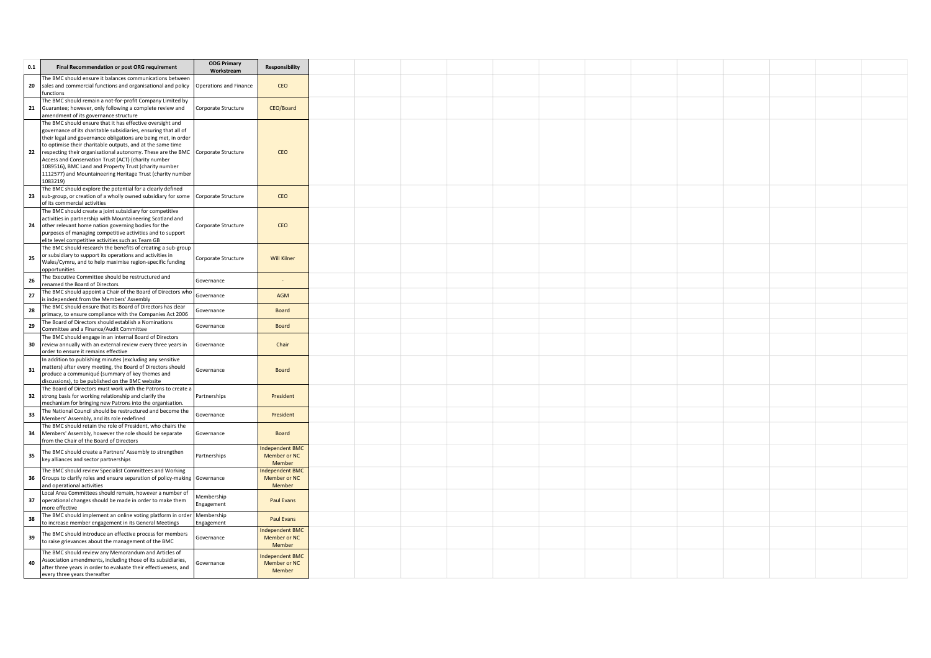| 0.1 | Final Recommendation or post ORG requirement                                                                                                  | <b>ODG Primary</b><br>Workstream | Responsibility                   |  |  |  |  |  |  |  |
|-----|-----------------------------------------------------------------------------------------------------------------------------------------------|----------------------------------|----------------------------------|--|--|--|--|--|--|--|
|     | The BMC should ensure it balances communications between                                                                                      |                                  |                                  |  |  |  |  |  |  |  |
| 20  | sales and commercial functions and organisational and policy                                                                                  | Operations and Finance           | CEO                              |  |  |  |  |  |  |  |
|     | functions<br>The BMC should remain a not-for-profit Company Limited by                                                                        |                                  |                                  |  |  |  |  |  |  |  |
| 21  | Guarantee; however, only following a complete review and                                                                                      | Corporate Structure              | CEO/Board                        |  |  |  |  |  |  |  |
|     | amendment of its governance structure                                                                                                         |                                  |                                  |  |  |  |  |  |  |  |
|     | The BMC should ensure that it has effective oversight and                                                                                     |                                  |                                  |  |  |  |  |  |  |  |
|     | governance of its charitable subsidiaries, ensuring that all of                                                                               |                                  |                                  |  |  |  |  |  |  |  |
|     | their legal and governance obligations are being met, in order                                                                                |                                  |                                  |  |  |  |  |  |  |  |
| 22  | to optimise their charitable outputs, and at the same time<br>respecting their organisational autonomy. These are the BMC Corporate Structure |                                  | CEO                              |  |  |  |  |  |  |  |
|     | Access and Conservation Trust (ACT) (charity number                                                                                           |                                  |                                  |  |  |  |  |  |  |  |
|     | 1089516), BMC Land and Property Trust (charity number                                                                                         |                                  |                                  |  |  |  |  |  |  |  |
|     | 1112577) and Mountaineering Heritage Trust (charity number                                                                                    |                                  |                                  |  |  |  |  |  |  |  |
|     | 1083219)                                                                                                                                      |                                  |                                  |  |  |  |  |  |  |  |
|     | The BMC should explore the potential for a clearly defined                                                                                    |                                  | CEO                              |  |  |  |  |  |  |  |
| 23  | sub-group, or creation of a wholly owned subsidiary for some Corporate Structure<br>of its commercial activities                              |                                  |                                  |  |  |  |  |  |  |  |
|     | The BMC should create a joint subsidiary for competitive                                                                                      |                                  |                                  |  |  |  |  |  |  |  |
|     | activities in partnership with Mountaineering Scotland and                                                                                    |                                  |                                  |  |  |  |  |  |  |  |
| 24  | other relevant home nation governing bodies for the                                                                                           | Corporate Structure              | CEO                              |  |  |  |  |  |  |  |
|     | purposes of managing competitive activities and to support                                                                                    |                                  |                                  |  |  |  |  |  |  |  |
|     | elite level competitive activities such as Team GB<br>The BMC should research the benefits of creating a sub-group                            |                                  |                                  |  |  |  |  |  |  |  |
|     | or subsidiary to support its operations and activities in                                                                                     |                                  |                                  |  |  |  |  |  |  |  |
| 25  | Wales/Cymru, and to help maximise region-specific funding                                                                                     | Corporate Structure              | <b>Will Kilner</b>               |  |  |  |  |  |  |  |
|     | opportunities                                                                                                                                 |                                  |                                  |  |  |  |  |  |  |  |
| 26  | The Executive Committee should be restructured and                                                                                            | Governance                       |                                  |  |  |  |  |  |  |  |
|     | renamed the Board of Directors<br>The BMC should appoint a Chair of the Board of Directors who                                                |                                  |                                  |  |  |  |  |  |  |  |
| 27  | is independent from the Members' Assembly                                                                                                     | Governance                       | <b>AGM</b>                       |  |  |  |  |  |  |  |
| 28  | The BMC should ensure that its Board of Directors has clear                                                                                   |                                  |                                  |  |  |  |  |  |  |  |
|     | primacy, to ensure compliance with the Companies Act 2006                                                                                     | Governance                       | Board                            |  |  |  |  |  |  |  |
| 29  | The Board of Directors should establish a Nominations                                                                                         | Governance                       | Board                            |  |  |  |  |  |  |  |
|     | Committee and a Finance/Audit Committee<br>The BMC should engage in an internal Board of Directors                                            |                                  |                                  |  |  |  |  |  |  |  |
| 30  | review annually with an external review every three years in                                                                                  | Governance                       | Chair                            |  |  |  |  |  |  |  |
|     | order to ensure it remains effective                                                                                                          |                                  |                                  |  |  |  |  |  |  |  |
|     | In addition to publishing minutes (excluding any sensitive                                                                                    |                                  |                                  |  |  |  |  |  |  |  |
| 31  | matters) after every meeting, the Board of Directors should                                                                                   | Governance                       | <b>Board</b>                     |  |  |  |  |  |  |  |
|     | produce a communiqué (summary of key themes and<br>discussions), to be published on the BMC website                                           |                                  |                                  |  |  |  |  |  |  |  |
|     | The Board of Directors must work with the Patrons to create a                                                                                 |                                  |                                  |  |  |  |  |  |  |  |
| 32  | strong basis for working relationship and clarify the                                                                                         | Partnerships                     | President                        |  |  |  |  |  |  |  |
|     | mechanism for bringing new Patrons into the organisation.                                                                                     |                                  |                                  |  |  |  |  |  |  |  |
| 33  | The National Council should be restructured and become the                                                                                    | Governance                       | President                        |  |  |  |  |  |  |  |
|     | Members' Assembly, and its role redefined                                                                                                     |                                  |                                  |  |  |  |  |  |  |  |
| 34  | The BMC should retain the role of President, who chairs the<br>Members' Assembly, however the role should be separate                         | Governance                       | <b>Board</b>                     |  |  |  |  |  |  |  |
|     | from the Chair of the Board of Directors                                                                                                      |                                  |                                  |  |  |  |  |  |  |  |
|     | The BMC should create a Partners' Assembly to strengthen                                                                                      |                                  | <b>Independent BMC</b>           |  |  |  |  |  |  |  |
| 35  | key alliances and sector partnerships                                                                                                         | Partnerships                     | Member or NC                     |  |  |  |  |  |  |  |
|     | The BMC should review Specialist Committees and Working                                                                                       |                                  | Member<br><b>Independent BMC</b> |  |  |  |  |  |  |  |
| 36  | Groups to clarify roles and ensure separation of policy-making Governance                                                                     |                                  | Member or NC                     |  |  |  |  |  |  |  |
|     | and operational activities                                                                                                                    |                                  | Member                           |  |  |  |  |  |  |  |
|     | Local Area Committees should remain, however a number of                                                                                      | Membership                       |                                  |  |  |  |  |  |  |  |
| 37  | operational changes should be made in order to make them                                                                                      | Engagement                       | Paul Evans                       |  |  |  |  |  |  |  |
|     | more effective<br>The BMC should implement an online voting platform in order                                                                 | Membership                       |                                  |  |  |  |  |  |  |  |
| 38  | to increase member engagement in its General Meetings                                                                                         | Engagement                       | Paul Evans                       |  |  |  |  |  |  |  |
|     | The BMC should introduce an effective process for members                                                                                     |                                  | Independent BMC                  |  |  |  |  |  |  |  |
| 39  | to raise grievances about the management of the BMC                                                                                           | Governance                       | Member or NC                     |  |  |  |  |  |  |  |
|     |                                                                                                                                               |                                  | Member                           |  |  |  |  |  |  |  |
|     | The BMC should review any Memorandum and Articles of<br>Association amendments, including those of its subsidiaries,                          |                                  | <b>Independent BMC</b>           |  |  |  |  |  |  |  |
| 40  | after three years in order to evaluate their effectiveness, and                                                                               | Governance                       | Member or NC                     |  |  |  |  |  |  |  |
|     | every three years thereafter                                                                                                                  |                                  | Member                           |  |  |  |  |  |  |  |